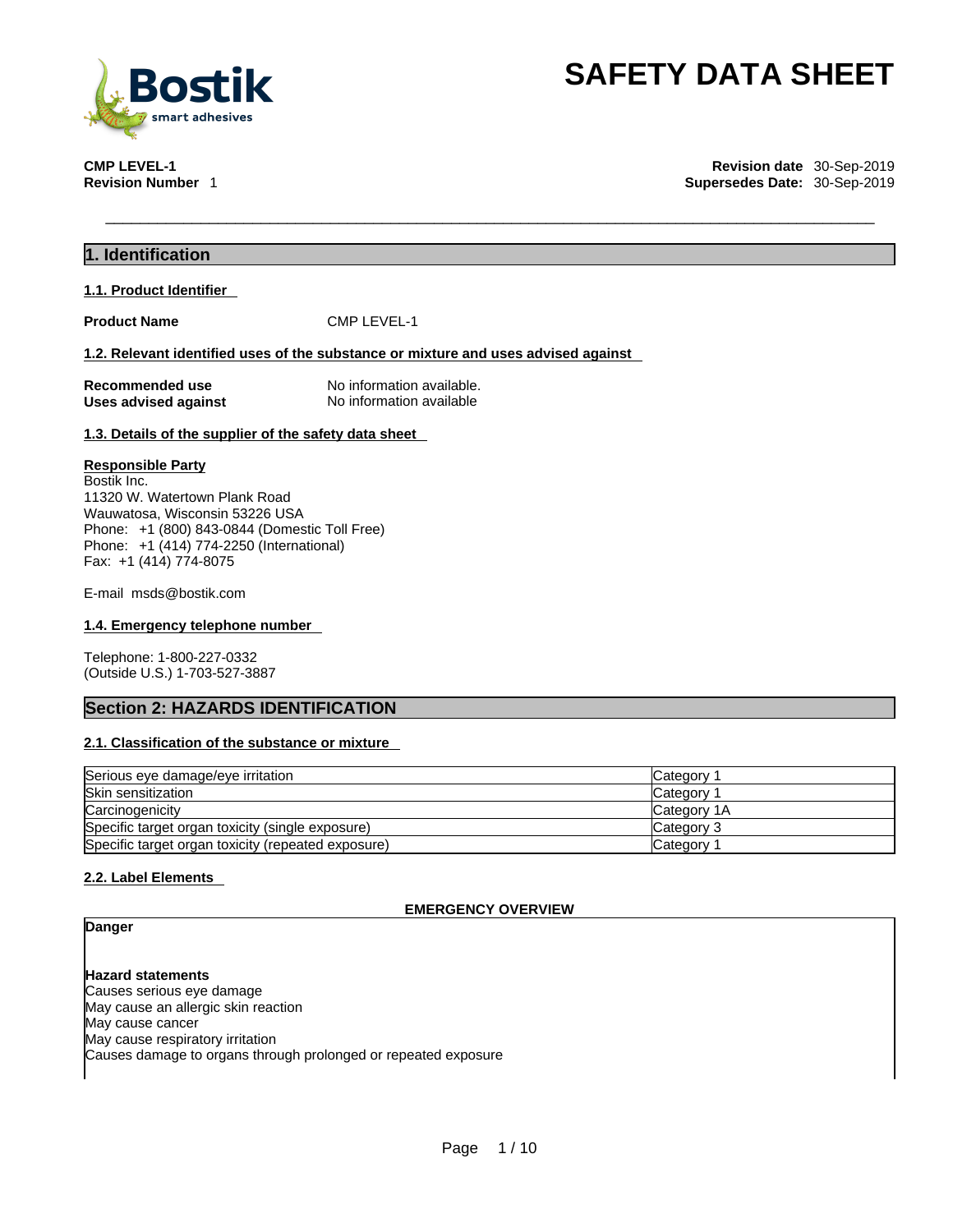

**CMP LEVEL-1 Revision date** 30-Sep-2019 **Supersedes Date: 30-Sep-2019** 

# **1. Identification**

**1.1. Product Identifier** 

**Product Name** CMP LEVEL-1

### **1.2. Relevant identified uses of the substance or mixture and uses advised against**

**Recommended use** No information available.<br> **Uses advised against** No information available **Uses advised against** 

### **1.3. Details of the supplier of the safety data sheet**

### **Responsible Party**

Bostik Inc. 11320 W. Watertown Plank Road Wauwatosa, Wisconsin 53226 USA Phone: +1 (800) 843-0844 (Domestic Toll Free) Phone: +1 (414) 774-2250 (International) Fax: +1 (414) 774-8075

E-mail msds@bostik.com

# **1.4. Emergency telephone number**

Telephone: 1-800-227-0332 (Outside U.S.) 1-703-527-3887

# **Section 2: HAZARDS IDENTIFICATION**

# **2.1. Classification of the substance or mixture**

| Serious eye damage/eye irritation                  | Category            |
|----------------------------------------------------|---------------------|
| Skin sensitization                                 | Category            |
| Carcinogenicity                                    | <b>ICategory 1A</b> |
| Specific target organ toxicity (single exposure)   | Category 3          |
| Specific target organ toxicity (repeated exposure) | Category            |

# **2.2. Label Elements**

# **EMERGENCY OVERVIEW**

# **Danger**

**Hazard statements** Causes serious eye damage May cause an allergic skin reaction May cause cancer May cause respiratory irritation Causes damage to organs through prolonged or repeated exposure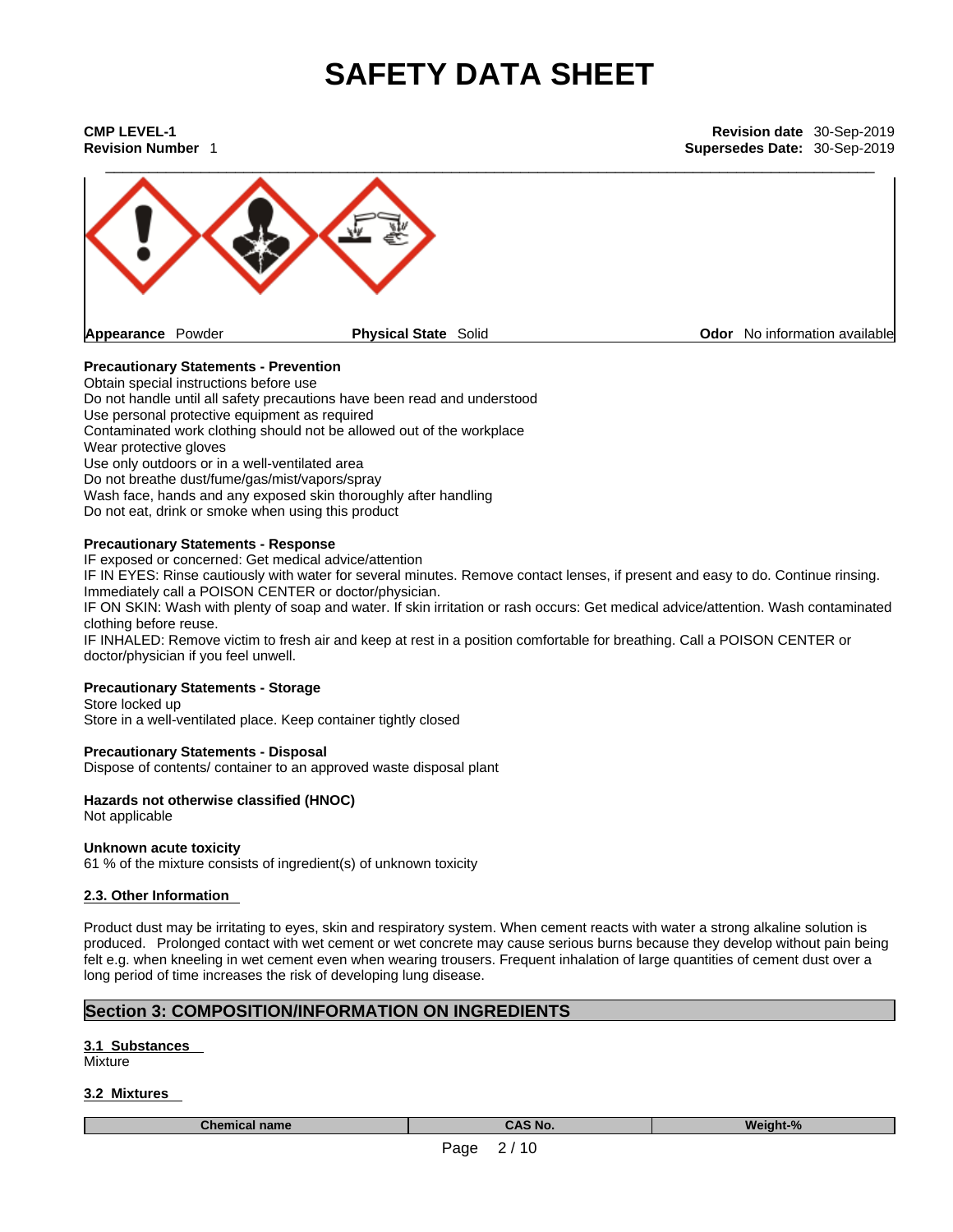| <b>CMP LEVEL-1</b><br><b>Revision Number 1</b> |                             | Revision date 30-Sep-2019<br>Supersedes Date: 30-Sep-2019 |
|------------------------------------------------|-----------------------------|-----------------------------------------------------------|
|                                                |                             |                                                           |
| Appearance Powder                              | <b>Physical State Solid</b> | Odor No information available                             |

# **Precautionary Statements - Prevention**

Obtain special instructions before use Do not handle until all safety precautions have been read and understood Use personal protective equipment as required Contaminated work clothing should not be allowed out of the workplace Wear protective gloves Use only outdoors or in a well-ventilated area Do not breathe dust/fume/gas/mist/vapors/spray Wash face, hands and any exposed skin thoroughly after handling Do not eat, drink or smoke when using this product

# **Precautionary Statements - Response**

IF exposed or concerned: Get medical advice/attention

IF IN EYES: Rinse cautiously with water for several minutes. Remove contact lenses, if present and easy to do. Continue rinsing. Immediately call a POISON CENTER or doctor/physician.

IF ON SKIN: Wash with plenty of soap and water. If skin irritation or rash occurs: Get medical advice/attention. Wash contaminated clothing before reuse.

IF INHALED: Remove victim to fresh air and keep at rest in a position comfortable for breathing. Call a POISON CENTER or doctor/physician if you feel unwell.

# **Precautionary Statements - Storage**

Store locked up Store in a well-ventilated place. Keep container tightly closed

# **Precautionary Statements - Disposal**

Dispose of contents/ container to an approved waste disposal plant

#### **Hazards not otherwise classified (HNOC)**  Not applicable

#### **Unknown acute toxicity**

61 % of the mixture consists of ingredient(s) of unknown toxicity

# **2.3. Other Information**

Product dust may be irritating to eyes, skin and respiratory system. When cement reacts with water a strong alkaline solution is produced. Prolonged contact with wet cement or wet concrete may cause serious burns because they develop without pain being felt e.g. when kneeling in wet cement even when wearing trousers. Frequent inhalation of large quantities of cement dust over a long period of time increases the risk of developing lung disease.

# **Section 3: COMPOSITION/INFORMATION ON INGREDIENTS**

# **3.1 Substances**

**Mixture** 

# **3.2 Mixtures**

**Chemical name CAS No. Weight-%**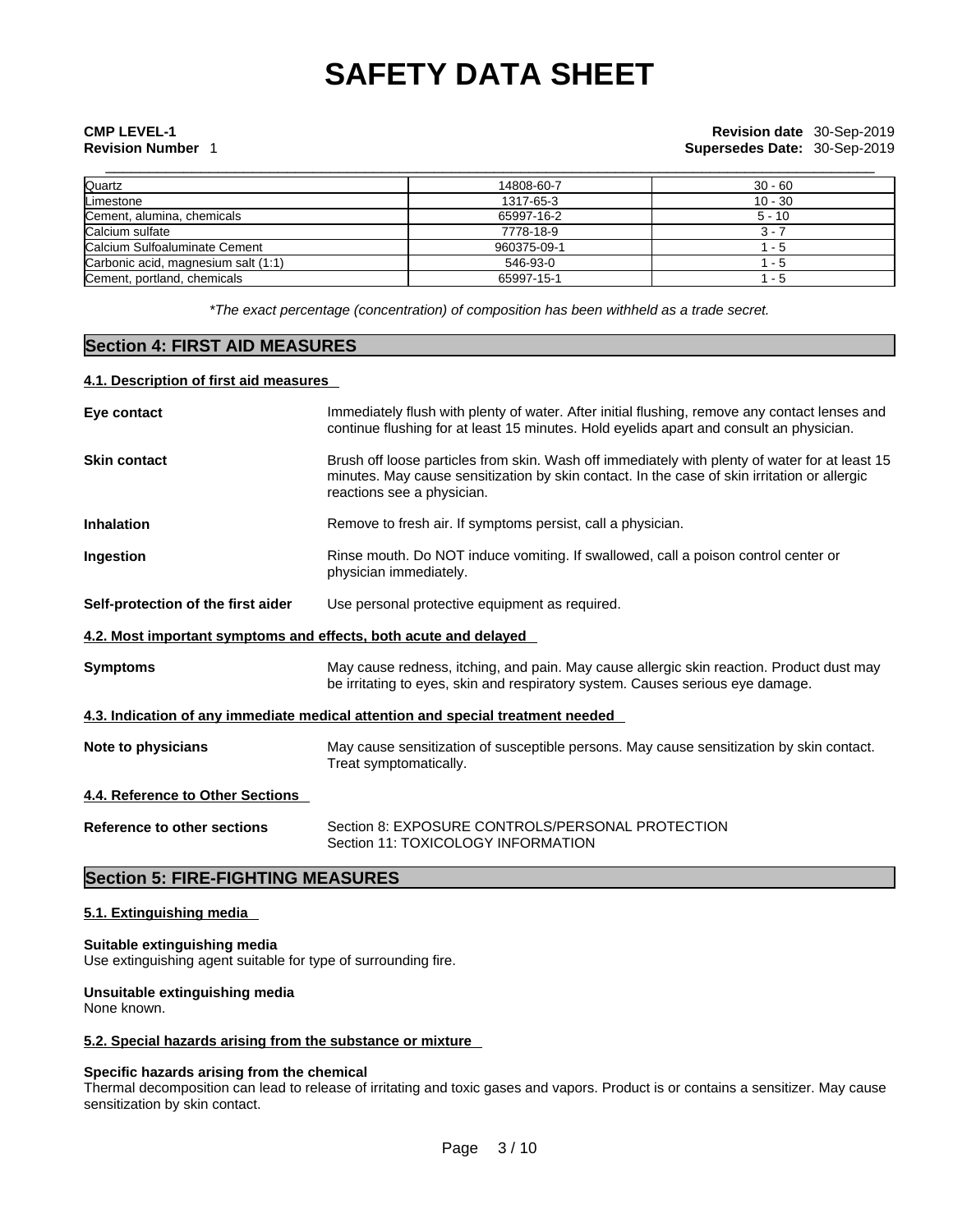**Revision Number** 1 **Supersedes Date:** 30-Sep-2019

| Quartz                              | 14808-60-7  | $30 - 60$ |
|-------------------------------------|-------------|-----------|
| Limestone                           | 1317-65-3   | $10 - 30$ |
| Cement, alumina, chemicals          | 65997-16-2  | $5 - 10$  |
| Calcium sulfate                     | 7778-18-9   | 3 -       |
| Calcium Sulfoaluminate Cement       | 960375-09-1 | - 5       |
| Carbonic acid, magnesium salt (1:1) | 546-93-0    | - 5       |
| Cement, portland, chemicals         | 65997-15-1  | - 5       |

*\*The exact percentage (concentration) of composition has been withheld as a trade secret.*

# **Section 4: FIRST AID MEASURES**

# **4.1. Description of first aid measures**

| Eye contact                                                      | Immediately flush with plenty of water. After initial flushing, remove any contact lenses and<br>continue flushing for at least 15 minutes. Hold eyelids apart and consult an physician.                                     |
|------------------------------------------------------------------|------------------------------------------------------------------------------------------------------------------------------------------------------------------------------------------------------------------------------|
| <b>Skin contact</b>                                              | Brush off loose particles from skin. Wash off immediately with plenty of water for at least 15<br>minutes. May cause sensitization by skin contact. In the case of skin irritation or allergic<br>reactions see a physician. |
| <b>Inhalation</b>                                                | Remove to fresh air. If symptoms persist, call a physician.                                                                                                                                                                  |
| Ingestion                                                        | Rinse mouth. Do NOT induce vomiting. If swallowed, call a poison control center or<br>physician immediately.                                                                                                                 |
| Self-protection of the first aider                               | Use personal protective equipment as required.                                                                                                                                                                               |
| 4.2. Most important symptoms and effects, both acute and delayed |                                                                                                                                                                                                                              |
| <b>Symptoms</b>                                                  | May cause redness, itching, and pain. May cause allergic skin reaction. Product dust may<br>be irritating to eyes, skin and respiratory system. Causes serious eye damage.                                                   |
|                                                                  | 4.3. Indication of any immediate medical attention and special treatment needed                                                                                                                                              |
| Note to physicians                                               | May cause sensitization of susceptible persons. May cause sensitization by skin contact.<br>Treat symptomatically.                                                                                                           |
| 4.4. Reference to Other Sections                                 |                                                                                                                                                                                                                              |
| Reference to other sections                                      | Section 8: EXPOSURE CONTROLS/PERSONAL PROTECTION<br>Section 11: TOXICOLOGY INFORMATION                                                                                                                                       |
|                                                                  |                                                                                                                                                                                                                              |

# **Section 5: FIRE-FIGHTING MEASURES**

# **5.1. Extinguishing media**

# **Suitable extinguishing media**

Use extinguishing agent suitable for type of surrounding fire.

# **Unsuitable extinguishing media**

None known.

# **5.2. Special hazards arising from the substance or mixture**

# **Specific hazards arising from the chemical**

Thermal decomposition can lead to release of irritating and toxic gases and vapors. Product is or contains a sensitizer. May cause sensitization by skin contact.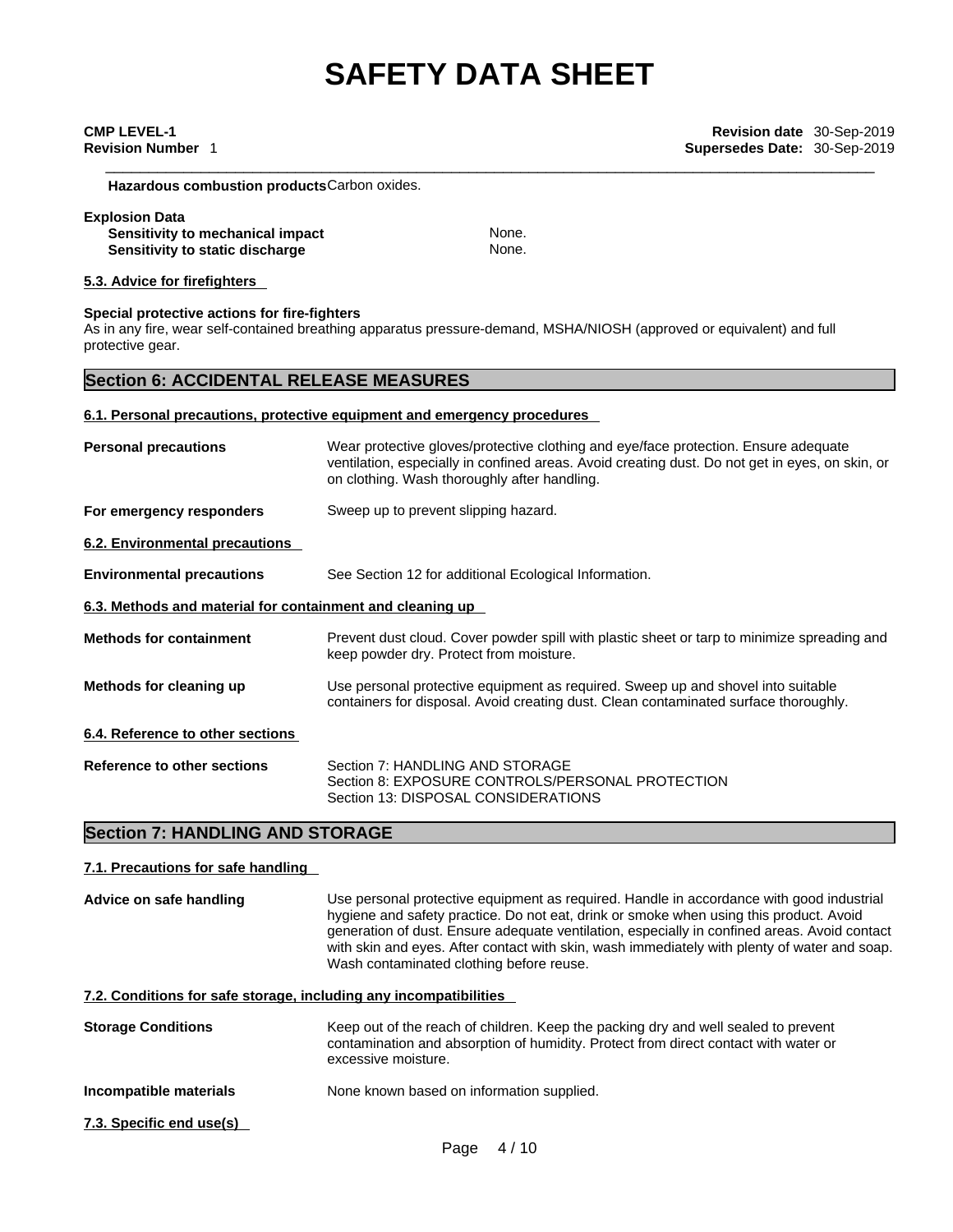**Hazardous combustion products**Carbon oxides.

#### **Explosion Data**

**Sensitivity to mechanical impact None.** None. **Sensitivity to static discharge None.** None.

# **5.3. Advice for firefighters**

# **Special protective actions for fire-fighters**

As in any fire, wear self-contained breathing apparatus pressure-demand, MSHA/NIOSH (approved or equivalent) and full protective gear.

# **Section 6: ACCIDENTAL RELEASE MEASURES**

# **6.1. Personal precautions, protective equipment and emergency procedures**

| <b>Personal precautions</b>                               | Wear protective gloves/protective clothing and eye/face protection. Ensure adequate<br>ventilation, especially in confined areas. Avoid creating dust. Do not get in eyes, on skin, or<br>on clothing. Wash thoroughly after handling. |
|-----------------------------------------------------------|----------------------------------------------------------------------------------------------------------------------------------------------------------------------------------------------------------------------------------------|
| For emergency responders                                  | Sweep up to prevent slipping hazard.                                                                                                                                                                                                   |
| 6.2. Environmental precautions                            |                                                                                                                                                                                                                                        |
| <b>Environmental precautions</b>                          | See Section 12 for additional Ecological Information.                                                                                                                                                                                  |
| 6.3. Methods and material for containment and cleaning up |                                                                                                                                                                                                                                        |
| <b>Methods for containment</b>                            | Prevent dust cloud. Cover powder spill with plastic sheet or tarp to minimize spreading and<br>keep powder dry. Protect from moisture.                                                                                                 |
| Methods for cleaning up                                   | Use personal protective equipment as required. Sweep up and shovel into suitable<br>containers for disposal. Avoid creating dust. Clean contaminated surface thoroughly.                                                               |
| 6.4. Reference to other sections                          |                                                                                                                                                                                                                                        |
| Reference to other sections                               | Section 7: HANDLING AND STORAGE<br>Section 8: EXPOSURE CONTROLS/PERSONAL PROTECTION<br>Section 13: DISPOSAL CONSIDERATIONS                                                                                                             |

# **Section 7: HANDLING AND STORAGE**

# **7.1. Precautions for safe handling**

| Advice on safe handling                                           | Use personal protective equipment as required. Handle in accordance with good industrial<br>hygiene and safety practice. Do not eat, drink or smoke when using this product. Avoid<br>generation of dust. Ensure adequate ventilation, especially in confined areas. Avoid contact<br>with skin and eyes. After contact with skin, wash immediately with plenty of water and soap.<br>Wash contaminated clothing before reuse. |
|-------------------------------------------------------------------|--------------------------------------------------------------------------------------------------------------------------------------------------------------------------------------------------------------------------------------------------------------------------------------------------------------------------------------------------------------------------------------------------------------------------------|
| 7.2. Conditions for safe storage, including any incompatibilities |                                                                                                                                                                                                                                                                                                                                                                                                                                |
| <b>Storage Conditions</b>                                         | Keep out of the reach of children. Keep the packing dry and well sealed to prevent<br>contamination and absorption of humidity. Protect from direct contact with water or<br>excessive moisture.                                                                                                                                                                                                                               |
| Incompatible materials                                            | None known based on information supplied.                                                                                                                                                                                                                                                                                                                                                                                      |
| 7.3. Specific end use(s)                                          |                                                                                                                                                                                                                                                                                                                                                                                                                                |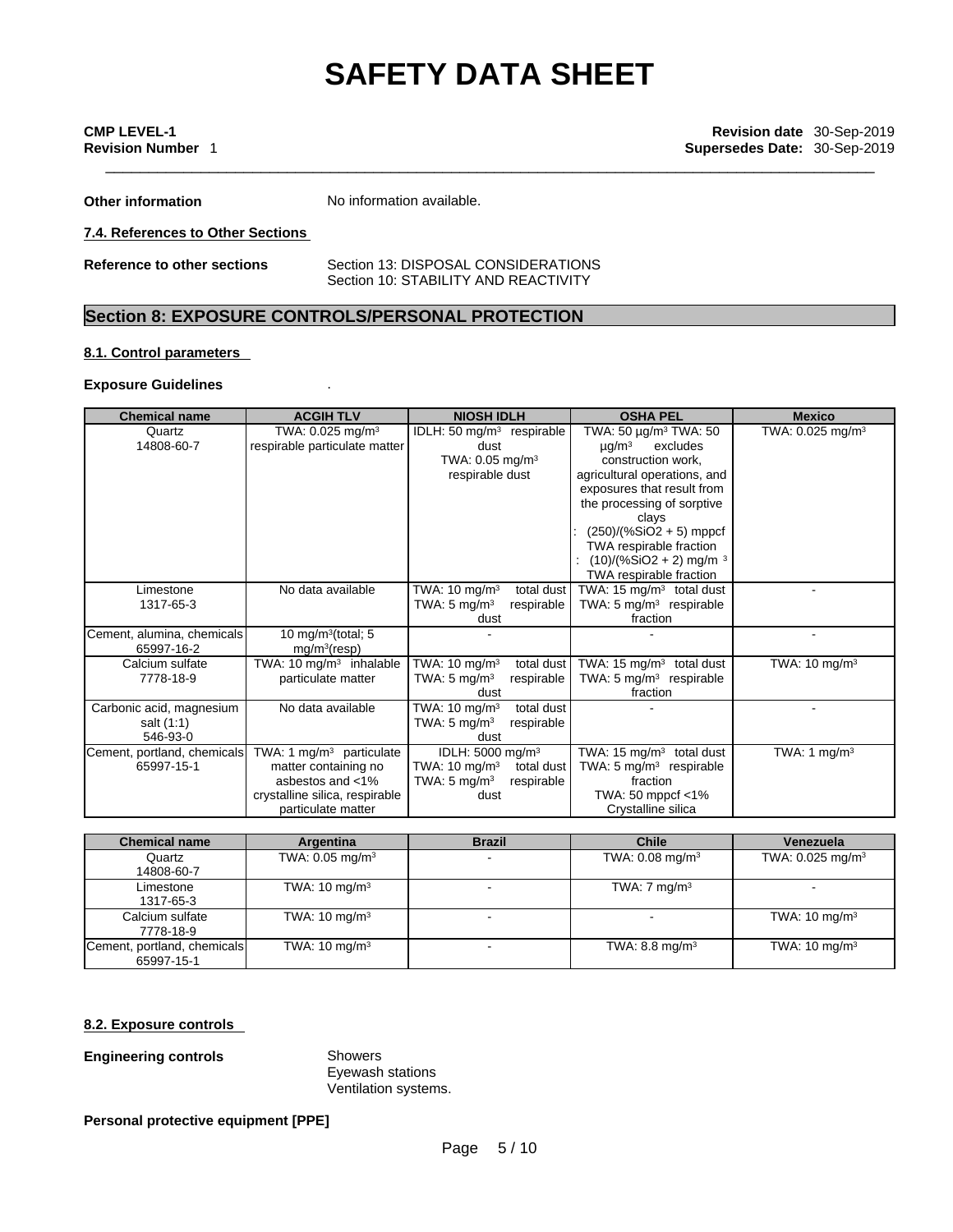\_\_\_\_\_\_\_\_\_\_\_\_\_\_\_\_\_\_\_\_\_\_\_\_\_\_\_\_\_\_\_\_\_\_\_\_\_\_\_\_\_\_\_\_\_\_\_\_\_\_\_\_\_\_\_\_\_\_\_\_\_\_\_\_\_\_\_\_\_\_\_\_\_\_\_\_\_\_\_\_\_\_\_\_\_\_\_\_\_ **CMP LEVEL-1 Revision date** 30-Sep-2019 **Revision Number** 1 **Supersedes Date:** 30-Sep-2019

**Other information** No information available.

**7.4. References to Other Sections**

**Reference to other sections** Section 13: DISPOSAL CONSIDERATIONS Section 10: STABILITY AND REACTIVITY

# **Section 8: EXPOSURE CONTROLS/PERSONAL PROTECTION**

# **8.1. Control parameters**

# **Exposure Guidelines** .

| <b>Chemical name</b>                               | <b>ACGIH TLV</b>                                                                                                               | <b>NIOSH IDLH</b>                                                                                                       | <b>OSHA PEL</b>                                                                                                                                                                                                                                                                                                             | <b>Mexico</b>                |
|----------------------------------------------------|--------------------------------------------------------------------------------------------------------------------------------|-------------------------------------------------------------------------------------------------------------------------|-----------------------------------------------------------------------------------------------------------------------------------------------------------------------------------------------------------------------------------------------------------------------------------------------------------------------------|------------------------------|
| Quartz<br>14808-60-7                               | TWA: 0.025 mg/m <sup>3</sup><br>respirable particulate matter                                                                  | IDLH: 50 mg/m <sup>3</sup> respirable<br>dust<br>TWA: $0.05$ mg/m <sup>3</sup><br>respirable dust                       | TWA: $50 \mu g/m^3$ TWA: $50 \mu g/m^3$<br>$\mu$ g/m $^3$<br>excludes<br>construction work,<br>agricultural operations, and<br>exposures that result from<br>the processing of sorptive<br>clays<br>$(250)/(%SiO2 + 5)$ mppcf<br>TWA respirable fraction<br>$(10)/(%SiO2 + 2)$ mg/m <sup>3</sup><br>TWA respirable fraction | TWA: 0.025 mg/m <sup>3</sup> |
| Limestone<br>1317-65-3                             | No data available                                                                                                              | TWA: $10 \text{ mg/m}^3$<br>total dust<br>TWA: $5 \text{ mg/m}^3$<br>respirable<br>dust                                 | TWA: 15 $mg/m3$ total dust<br>TWA: 5 mg/m <sup>3</sup> respirable<br>fraction                                                                                                                                                                                                                                               |                              |
| Cement, alumina, chemicals<br>65997-16-2           | 10 mg/m $3$ (total; 5<br>mg/m <sup>3</sup> (resp)                                                                              |                                                                                                                         |                                                                                                                                                                                                                                                                                                                             |                              |
| Calcium sulfate<br>7778-18-9                       | TWA: 10 $mg/m3$ inhalable<br>particulate matter                                                                                | TWA: 10 mg/m <sup>3</sup><br>total dust<br>TWA: $5 \text{ mg/m}^3$<br>respirable<br>dust                                | TWA: 15 $mg/m3$ total dust<br>TWA: $5 \text{ mg/m}^3$ respirable<br>fraction                                                                                                                                                                                                                                                | TWA: $10 \text{ mg/m}^3$     |
| Carbonic acid, magnesium<br>salt (1:1)<br>546-93-0 | No data available                                                                                                              | TWA: $10 \text{ mg/m}^3$<br>total dust<br>TWA: $5 \text{ mg/m}^3$<br>respirable<br>dust                                 |                                                                                                                                                                                                                                                                                                                             |                              |
| Cement, portland, chemicals<br>65997-15-1          | TWA: 1 $mg/m3$ particulate<br>matter containing no<br>asbestos and <1%<br>crystalline silica, respirable<br>particulate matter | IDLH: 5000 mg/m <sup>3</sup><br>TWA: $10 \text{ mg/m}^3$<br>total dust<br>TWA: $5 \text{ mg/m}^3$<br>respirable<br>dust | TWA: 15 $mg/m3$ total dust<br>TWA: $5 \text{ mg/m}^3$ respirable<br>fraction<br>TWA: 50 mppcf <1%<br>Crystalline silica                                                                                                                                                                                                     | TWA: 1 mg/m <sup>3</sup>     |

| <b>Chemical name</b>        | Argentina                     | <b>Brazil</b> | <b>Chile</b>                  | Venezuela                      |
|-----------------------------|-------------------------------|---------------|-------------------------------|--------------------------------|
| Quartz                      | TWA: $0.05$ mg/m <sup>3</sup> |               | TWA: $0.08$ mg/m <sup>3</sup> | TWA: $0.025$ mg/m <sup>3</sup> |
| 14808-60-7                  |                               |               |                               |                                |
| Limestone                   | TWA: $10 \text{ mg/m}^3$      |               | TWA: $7 \text{ mg/m}^3$       |                                |
| 1317-65-3                   |                               |               |                               |                                |
| Calcium sulfate             | TWA: $10 \text{ mg/m}^3$      |               |                               | TWA: $10 \text{ mg/m}^3$       |
| 7778-18-9                   |                               |               |                               |                                |
| Cement, portland, chemicals | TWA: $10 \text{ mg/m}^3$      |               | TWA: 8.8 mg/m <sup>3</sup>    | TWA: $10 \text{ mg/m}^3$       |
| 65997-15-1                  |                               |               |                               |                                |

# **8.2. Exposure controls**

# **Engineering controls** Showers

Eyewash stations Ventilation systems.

# **Personal protective equipment [PPE]**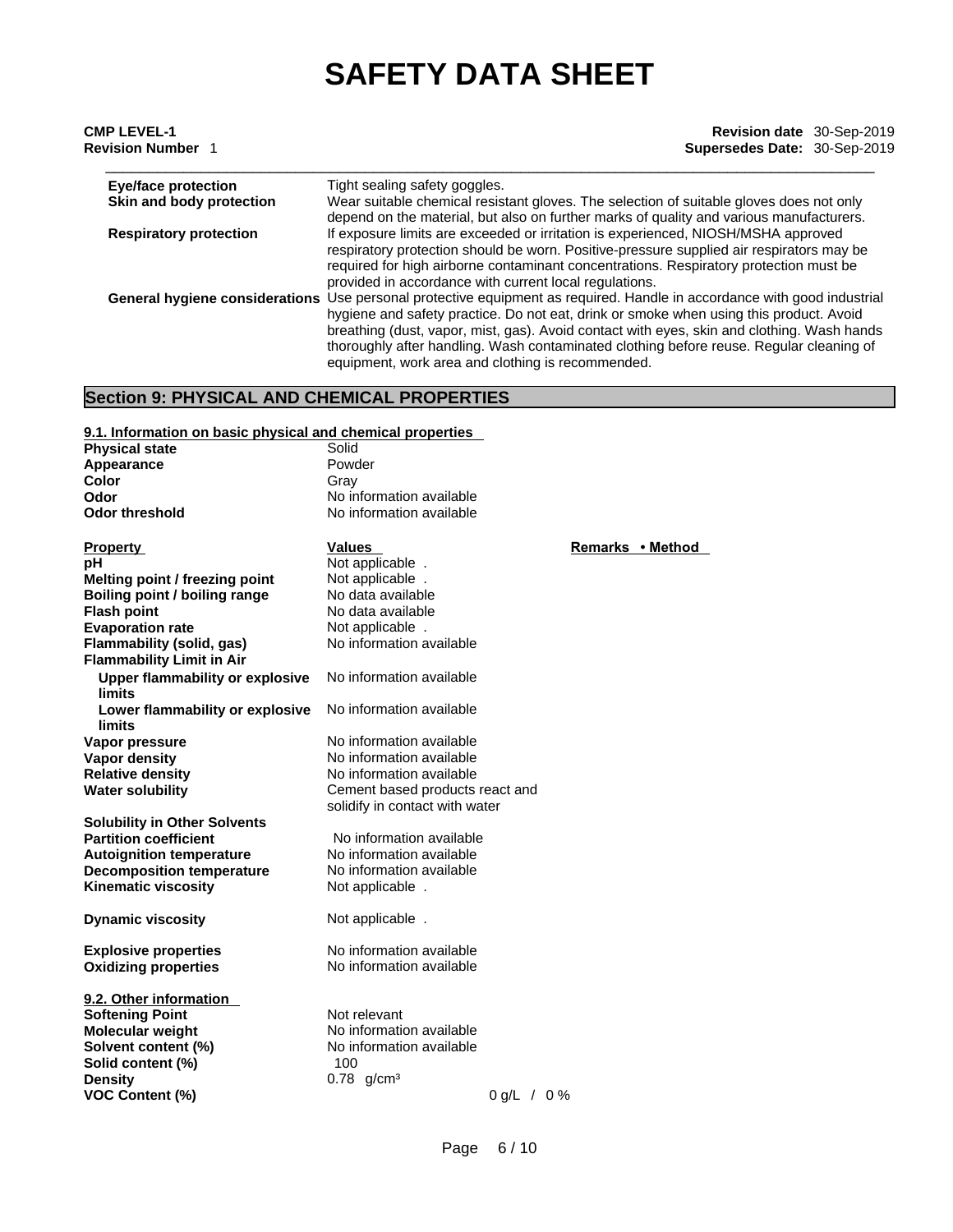| <b>CMP LEVEL-1</b><br><b>Revision Number</b> 1 | Revision date 30-Sep-2019<br>Supersedes Date: 30-Sep-2019                                                                                                                          |
|------------------------------------------------|------------------------------------------------------------------------------------------------------------------------------------------------------------------------------------|
| <b>Eye/face protection</b>                     | Tight sealing safety goggles.                                                                                                                                                      |
| Skin and body protection                       | Wear suitable chemical resistant gloves. The selection of suitable gloves does not only<br>depend on the material, but also on further marks of quality and various manufacturers. |
| <b>Respiratory protection</b>                  | If exposure limits are exceeded or irritation is experienced, NIOSH/MSHA approved                                                                                                  |
|                                                | respiratory protection should be worn. Positive-pressure supplied air respirators may be<br>required for high airborne contaminant concentrations. Respiratory protection must be  |
|                                                | provided in accordance with current local regulations.                                                                                                                             |
|                                                | General hygiene considerations Use personal protective equipment as required. Handle in accordance with good industrial                                                            |
|                                                | hygiene and safety practice. Do not eat, drink or smoke when using this product. Avoid                                                                                             |
|                                                | breathing (dust, vapor, mist, gas). Avoid contact with eyes, skin and clothing. Wash hands                                                                                         |

equipment, work area and clothing is recommended.

thoroughly after handling. Wash contaminated clothing before reuse. Regular cleaning of

# **Section 9: PHYSICAL AND CHEMICAL PROPERTIES**

| 9.1. Information on basic physical and chemical properties |                                 |                  |
|------------------------------------------------------------|---------------------------------|------------------|
| <b>Physical state</b>                                      | Solid                           |                  |
| Appearance                                                 | Powder                          |                  |
| Color                                                      | Gray                            |                  |
| Odor                                                       | No information available        |                  |
| <b>Odor threshold</b>                                      | No information available        |                  |
|                                                            |                                 |                  |
| <b>Property</b>                                            | <b>Values</b>                   | Remarks • Method |
| рH                                                         | Not applicable.                 |                  |
| Melting point / freezing point                             | Not applicable.                 |                  |
| Boiling point / boiling range                              | No data available               |                  |
| <b>Flash point</b>                                         | No data available               |                  |
| <b>Evaporation rate</b>                                    | Not applicable.                 |                  |
| Flammability (solid, gas)                                  | No information available        |                  |
| <b>Flammability Limit in Air</b>                           |                                 |                  |
| <b>Upper flammability or explosive</b>                     | No information available        |                  |
| limits                                                     |                                 |                  |
| Lower flammability or explosive                            | No information available        |                  |
| <b>limits</b>                                              |                                 |                  |
| Vapor pressure                                             | No information available        |                  |
| Vapor density                                              | No information available        |                  |
| <b>Relative density</b>                                    | No information available        |                  |
| <b>Water solubility</b>                                    | Cement based products react and |                  |
|                                                            | solidify in contact with water  |                  |
| <b>Solubility in Other Solvents</b>                        |                                 |                  |
| <b>Partition coefficient</b>                               | No information available        |                  |
| <b>Autoignition temperature</b>                            | No information available        |                  |
| <b>Decomposition temperature</b>                           | No information available        |                  |
| <b>Kinematic viscosity</b>                                 | Not applicable.                 |                  |
| <b>Dynamic viscosity</b>                                   | Not applicable.                 |                  |
|                                                            |                                 |                  |
| <b>Explosive properties</b>                                | No information available        |                  |
| <b>Oxidizing properties</b>                                | No information available        |                  |
|                                                            |                                 |                  |
| 9.2. Other information                                     |                                 |                  |
| <b>Softening Point</b>                                     | Not relevant                    |                  |
| <b>Molecular weight</b>                                    | No information available        |                  |
| Solvent content (%)                                        | No information available        |                  |
| Solid content (%)                                          | 100                             |                  |
| <b>Density</b>                                             | $0.78$ g/cm <sup>3</sup>        |                  |
| <b>VOC Content (%)</b>                                     | $0 g/L / 0 \%$                  |                  |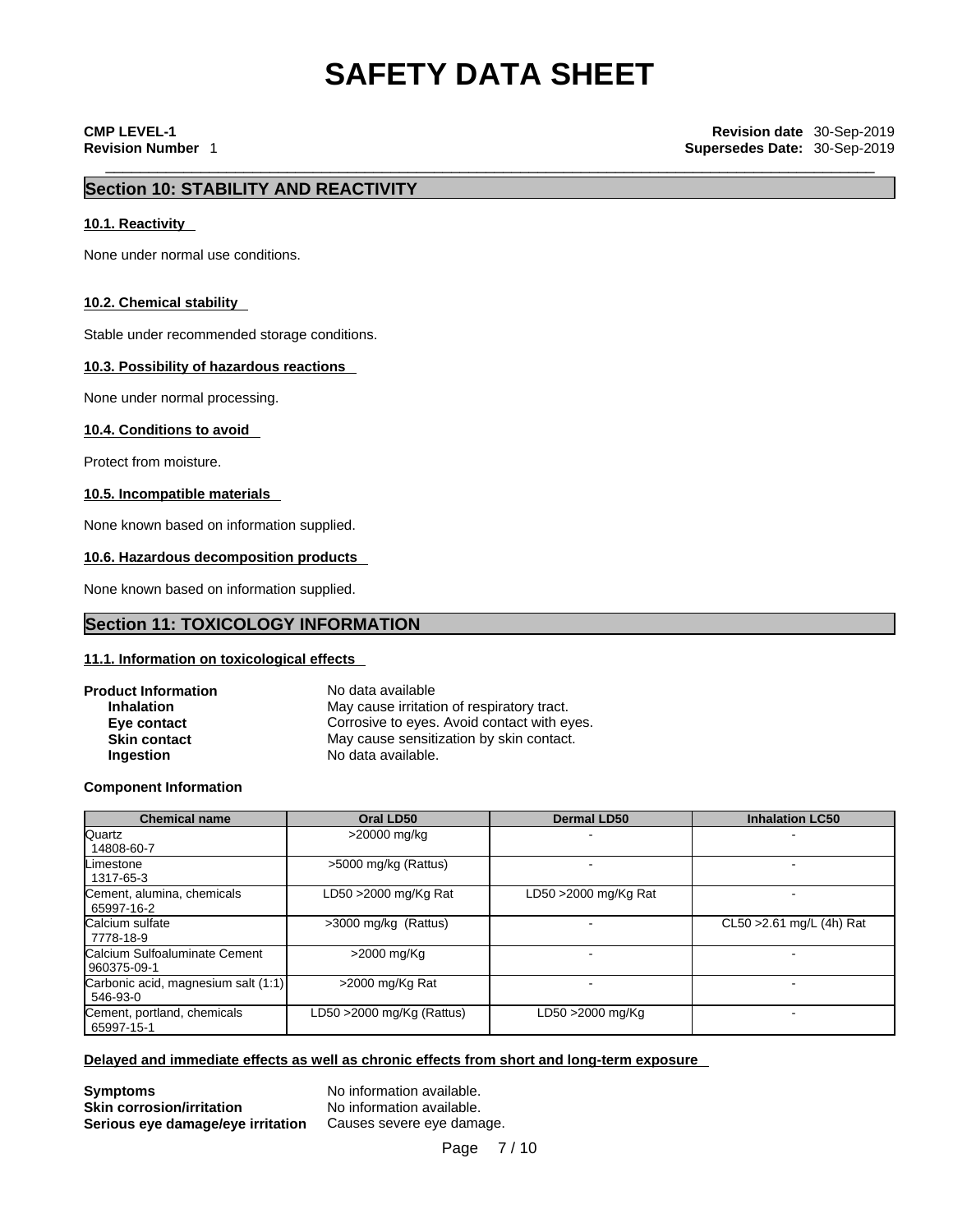# **Section 10: STABILITY AND REACTIVITY**

### **10.1. Reactivity**

None under normal use conditions.

### **10.2. Chemical stability**

Stable under recommended storage conditions.

## **10.3. Possibility of hazardous reactions**

None under normal processing.

### **10.4. Conditions to avoid**

Protect from moisture.

### **10.5. Incompatible materials**

None known based on information supplied.

### **10.6. Hazardous decomposition products**

None known based on information supplied.

# **Section 11: TOXICOLOGY INFORMATION**

# **11.1. Information on toxicologicaleffects**

| <b>Product Information</b> | No data available                           |
|----------------------------|---------------------------------------------|
| <b>Inhalation</b>          | May cause irritation of respiratory tract.  |
| Eye contact                | Corrosive to eyes. Avoid contact with eyes. |
| <b>Skin contact</b>        | May cause sensitization by skin contact.    |
| <b>Ingestion</b>           | No data available.                          |

**Component Information**

| <b>Chemical name</b>                            | Oral LD50                 | <b>Dermal LD50</b>      | <b>Inhalation LC50</b>    |
|-------------------------------------------------|---------------------------|-------------------------|---------------------------|
| <b>Quartz</b><br>14808-60-7                     | >20000 mg/kg              |                         |                           |
| Limestone<br>1317-65-3                          | >5000 mg/kg (Rattus)      |                         |                           |
| Cement, alumina, chemicals<br>65997-16-2        | LD50 >2000 mg/Kg Rat      | LD50 $>$ 2000 mg/Kg Rat |                           |
| Calcium sulfate<br>7778-18-9                    | >3000 mg/kg (Rattus)      |                         | CL50 > 2.61 mg/L (4h) Rat |
| Calcium Sulfoaluminate Cement<br>l 960375-09-1  | >2000 mg/Kg               |                         |                           |
| Carbonic acid, magnesium salt (1:1)<br>546-93-0 | >2000 mg/Kg Rat           |                         |                           |
| Cement, portland, chemicals<br>65997-15-1       | LD50 >2000 mg/Kg (Rattus) | LD50 >2000 mg/Kg        |                           |

## **Delayed and immediate effects as well as chronic effects from short and long-term exposure**

**Symptoms**<br> **Skin corrosion/irritation**<br>
No information available. **Skin corrosion/irritation Serious eye damage/eye irritation** Causes severe eye damage.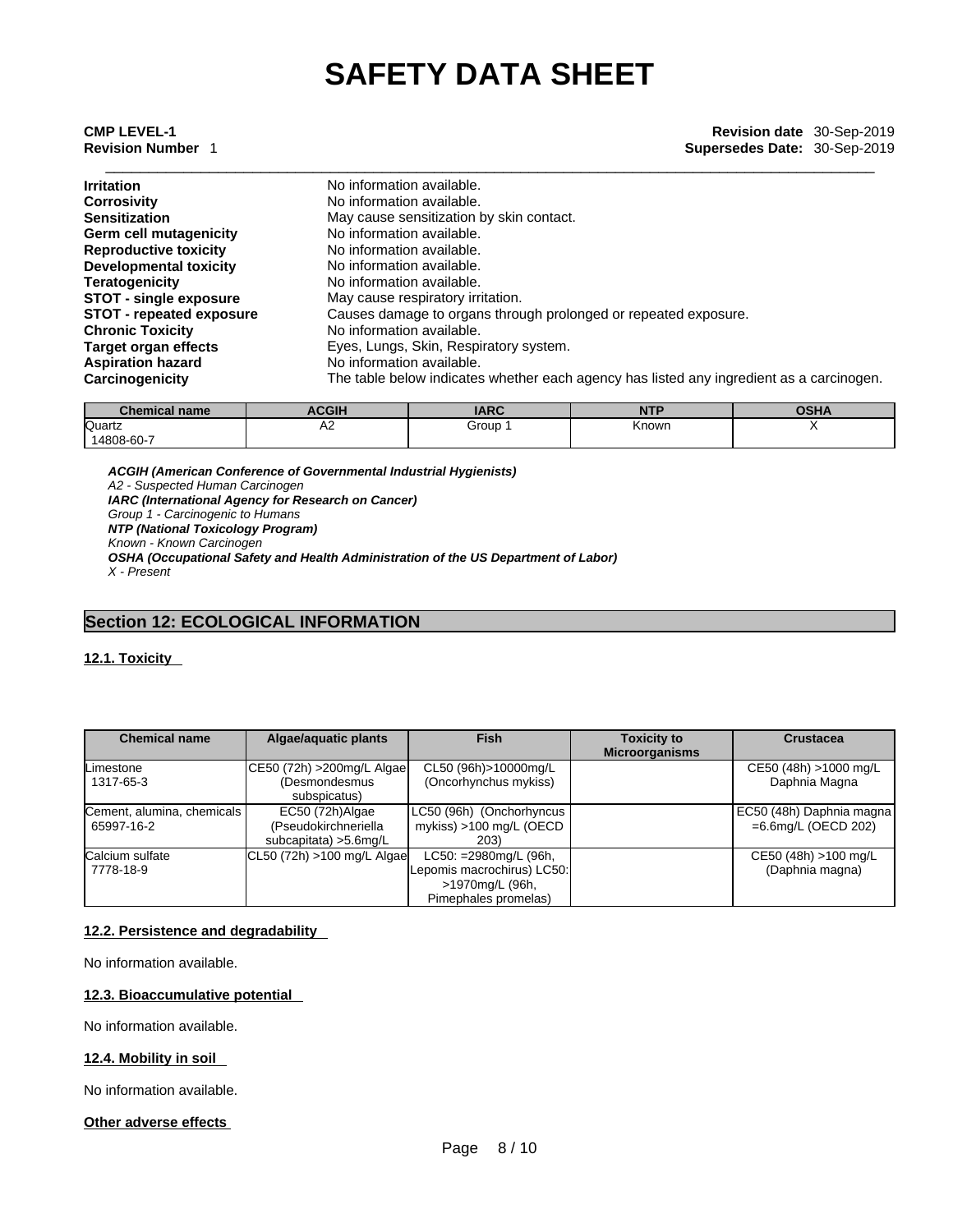| <b>Irritation</b>               | No information available.                                                                |
|---------------------------------|------------------------------------------------------------------------------------------|
| Corrosivity                     | No information available.                                                                |
| Sensitization                   | May cause sensitization by skin contact.                                                 |
| Germ cell mutagenicity          | No information available.                                                                |
| <b>Reproductive toxicity</b>    | No information available.                                                                |
| <b>Developmental toxicity</b>   | No information available.                                                                |
| Teratogenicity                  | No information available.                                                                |
| <b>STOT - single exposure</b>   | May cause respiratory irritation.                                                        |
| <b>STOT - repeated exposure</b> | Causes damage to organs through prolonged or repeated exposure.                          |
| Chronic Toxicity                | No information available.                                                                |
| Target organ effects            | Eyes, Lungs, Skin, Respiratory system.                                                   |
| <b>Aspiration hazard</b>        | No information available.                                                                |
| Carcinogenicity                 | The table below indicates whether each agency has listed any ingredient as a carcinogen. |

| <i>C</i> hemical name∍ | <b>ACGIH</b> | <b>IARC</b> | <b>NTP</b> | <b>OCUA</b><br>UJNA |
|------------------------|--------------|-------------|------------|---------------------|
| Quartz<br>14808-60-7   | rΖ           | Group       | Known      |                     |

*ACGIH (American Conference of Governmental Industrial Hygienists) A2 - Suspected Human Carcinogen IARC (International Agency for Research on Cancer) Group 1 - Carcinogenic to Humans NTP (National Toxicology Program) Known - Known Carcinogen OSHA (Occupational Safety and Health Administration of the US Department of Labor) X - Present* 

# **Section 12: ECOLOGICAL INFORMATION**

# **12.1. Toxicity**

| <b>Chemical name</b>       | Algae/aquatic plants       | <b>Fish</b>                | <b>Toxicity to</b>    | <b>Crustacea</b>         |
|----------------------------|----------------------------|----------------------------|-----------------------|--------------------------|
|                            |                            |                            | <b>Microorganisms</b> |                          |
| <b>Limestone</b>           | CE50 (72h) > 200mg/L Algae | CL50 (96h)>10000mg/L       |                       | CE50 (48h) >1000 mg/L    |
| 1317-65-3                  | (Desmondesmus              | (Oncorhynchus mykiss)      |                       | Daphnia Magna            |
|                            | subspicatus)               |                            |                       |                          |
| Cement, alumina, chemicals | EC50 (72h) Algae           | LC50 (96h) (Onchorhyncus   |                       | EC50 (48h) Daphnia magna |
| 65997-16-2                 | (Pseudokirchneriella       | mykiss) >100 mg/L (OECD    |                       | $=6.6$ mg/L (OECD 202)   |
|                            | subcapitata) > 5.6 mg/L    | 203)                       |                       |                          |
| Calcium sulfate            | CL50 (72h) >100 mg/L Algae | LC50: =2980mg/L (96h,      |                       | CE50 (48h) >100 mg/L     |
| 7778-18-9                  |                            | Lepomis macrochirus) LC50: |                       | (Daphnia magna)          |
|                            |                            | >1970mg/L (96h,            |                       |                          |
|                            |                            | Pimephales promelas)       |                       |                          |

# **12.2. Persistence and degradability**

No information available.

# **12.3. Bioaccumulative potential**

No information available.

# **12.4. Mobility in soil**

No information available.

# **Other adverse effects**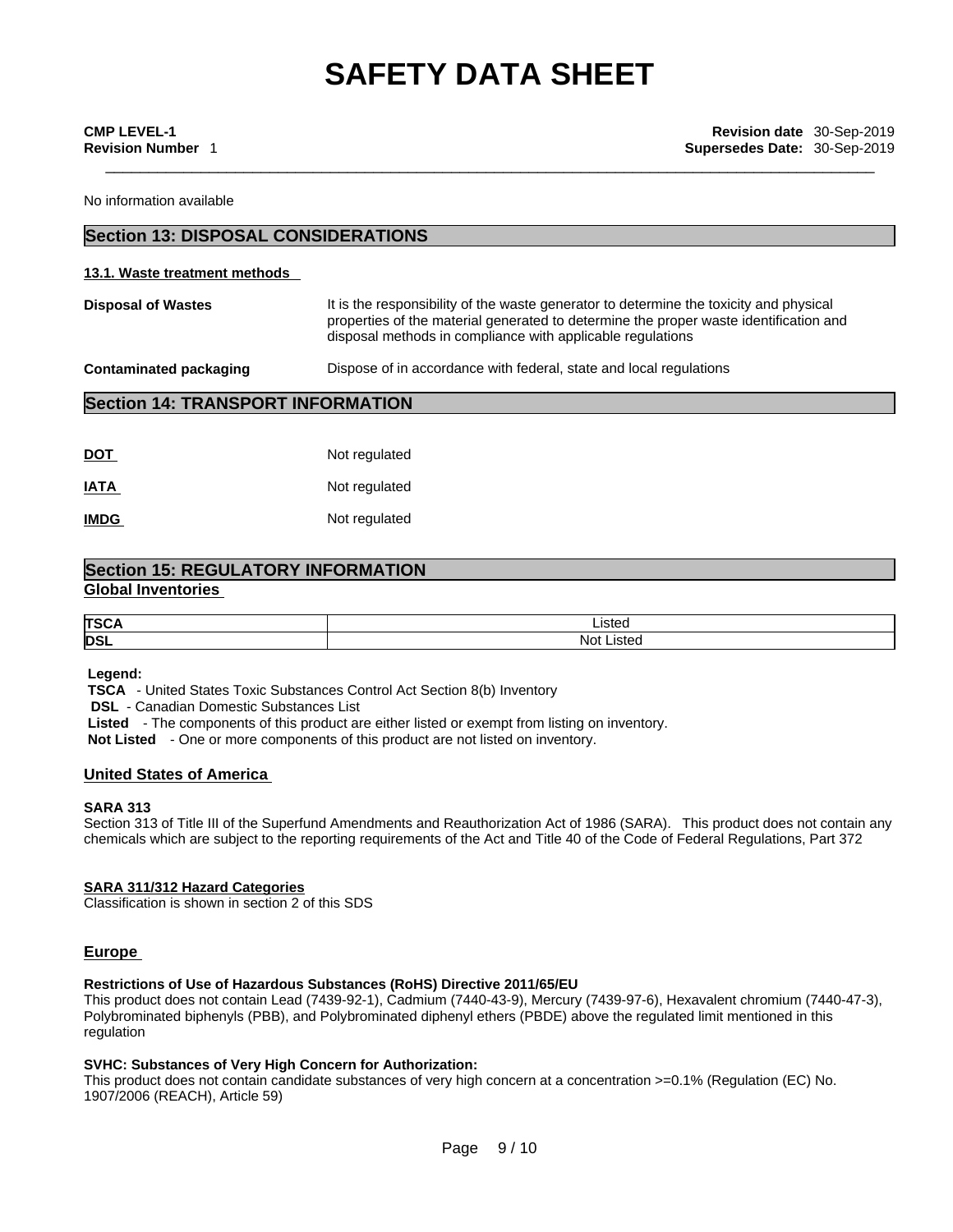No information available

# **Section 13: DISPOSAL CONSIDERATIONS**

#### **13.1. Waste treatment methods**

| <b>Disposal of Wastes</b> | It is the responsibility of the waste generator to determine the toxicity and physical<br>properties of the material generated to determine the proper waste identification and<br>disposal methods in compliance with applicable regulations |
|---------------------------|-----------------------------------------------------------------------------------------------------------------------------------------------------------------------------------------------------------------------------------------------|
| Contaminated packaging    | Dispose of in accordance with federal, state and local regulations                                                                                                                                                                            |

# **Section 14: TRANSPORT INFORMATION**

| DOT         | Not regulated |
|-------------|---------------|
| IATA        | Not regulated |
| <b>IMDG</b> | Not regulated |

# **Section 15: REGULATORY INFORMATION Global Inventories**

| <b>TSC</b> | _isted      |
|------------|-------------|
| DSL        | Not<br>`St∈ |

 **Legend:** 

 **TSCA** - United States Toxic Substances Control Act Section 8(b) Inventory

**DSL** - Canadian Domestic Substances List

 **Listed** - The components of this product are either listed or exempt from listing on inventory.

 **Not Listed** - One or more components of this product are not listed on inventory.

# **United States of America**

## **SARA 313**

Section 313 of Title III of the Superfund Amendments and Reauthorization Act of 1986 (SARA). This product does not contain any chemicals which are subject to the reporting requirements of the Act and Title 40 of the Code of Federal Regulations, Part 372

#### **SARA 311/312 Hazard Categories**

Classification is shown in section 2 of this SDS

# **Europe**

# **Restrictions of Use of Hazardous Substances (RoHS) Directive 2011/65/EU**

This product does not contain Lead (7439-92-1), Cadmium (7440-43-9), Mercury (7439-97-6), Hexavalent chromium (7440-47-3), Polybrominated biphenyls (PBB), and Polybrominated diphenyl ethers (PBDE) above the regulated limit mentioned in this regulation

# **SVHC: Substances of Very High Concern for Authorization:**

This product does not contain candidate substances of very high concern at a concentration >=0.1% (Regulation (EC) No. 1907/2006 (REACH), Article 59)